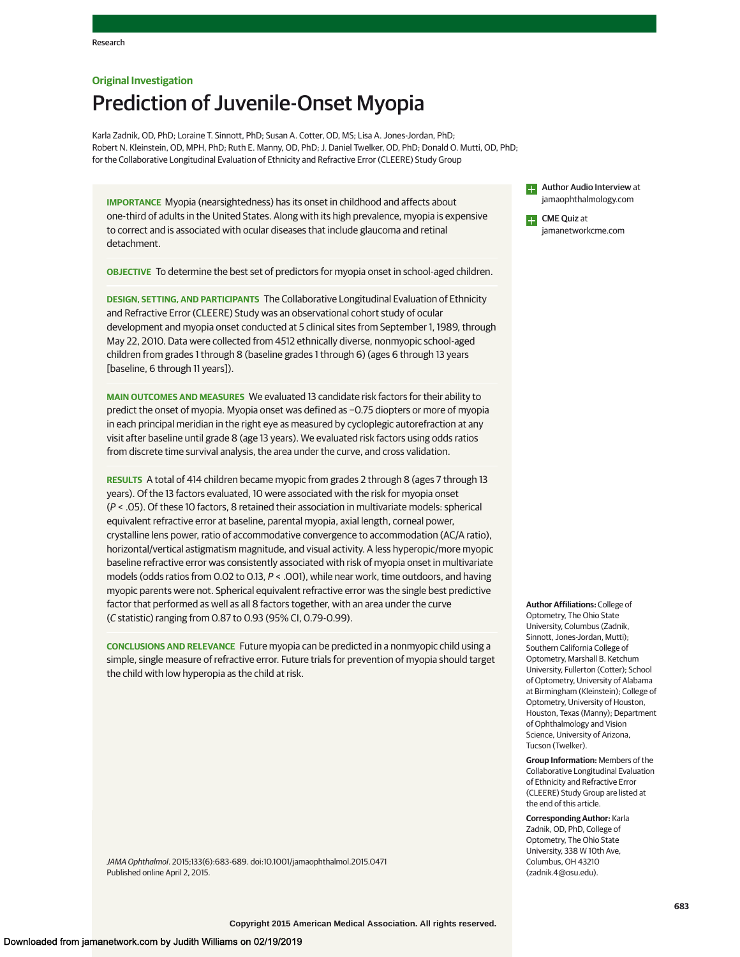## **Original Investigation**

# Prediction of Juvenile-Onset Myopia

Karla Zadnik, OD, PhD; Loraine T. Sinnott, PhD; Susan A. Cotter, OD, MS; Lisa A. Jones-Jordan, PhD; Robert N. Kleinstein, OD, MPH, PhD; Ruth E. Manny, OD, PhD; J. Daniel Twelker, OD, PhD; Donald O. Mutti, OD, PhD; for the Collaborative Longitudinal Evaluation of Ethnicity and Refractive Error (CLEERE) Study Group

**IMPORTANCE** Myopia (nearsightedness) has its onset in childhood and affects about one-third of adults in the United States. Along with its high prevalence, myopia is expensive to correct and is associated with ocular diseases that include glaucoma and retinal detachment.

**OBJECTIVE** To determine the best set of predictors for myopia onset in school-aged children.

**DESIGN, SETTING, AND PARTICIPANTS** The Collaborative Longitudinal Evaluation of Ethnicity and Refractive Error (CLEERE) Study was an observational cohort study of ocular development and myopia onset conducted at 5 clinical sites from September 1, 1989, through May 22, 2010. Data were collected from 4512 ethnically diverse, nonmyopic school-aged children from grades 1 through 8 (baseline grades 1 through 6) (ages 6 through 13 years [baseline, 6 through 11 years]).

**MAIN OUTCOMES AND MEASURES** We evaluated 13 candidate risk factors for their ability to predict the onset of myopia. Myopia onset was defined as −0.75 diopters or more of myopia in each principal meridian in the right eye as measured by cycloplegic autorefraction at any visit after baseline until grade 8 (age 13 years). We evaluated risk factors using odds ratios from discrete time survival analysis, the area under the curve, and cross validation.

**RESULTS** A total of 414 children became myopic from grades 2 through 8 (ages 7 through 13 years). Of the 13 factors evaluated, 10 were associated with the risk for myopia onset (P < .05). Of these 10 factors, 8 retained their association in multivariate models: spherical equivalent refractive error at baseline, parental myopia, axial length, corneal power, crystalline lens power, ratio of accommodative convergence to accommodation (AC/A ratio), horizontal/vertical astigmatism magnitude, and visual activity. A less hyperopic/more myopic baseline refractive error was consistently associated with risk of myopia onset in multivariate models (odds ratios from 0.02 to 0.13, P < .001), while near work, time outdoors, and having myopic parents were not. Spherical equivalent refractive error was the single best predictive factor that performed as well as all 8 factors together, with an area under the curve (C statistic) ranging from 0.87 to 0.93 (95% CI, 0.79-0.99).

**CONCLUSIONS AND RELEVANCE** Future myopia can be predicted in a nonmyopic child using a simple, single measure of refractive error. Future trials for prevention of myopia should target the child with low hyperopia as the child at risk.

JAMA Ophthalmol. 2015;133(6):683-689. doi:10.1001/jamaophthalmol.2015.0471 Published online April 2, 2015.

**Example 2** Author Audio Interview at jamaophthalmology.com

**CME** Quiz at jamanetworkcme.com

**Author Affiliations:** College of Optometry, The Ohio State University, Columbus (Zadnik, Sinnott, Jones-Jordan, Mutti); Southern California College of Optometry, Marshall B. Ketchum University, Fullerton (Cotter); School of Optometry, University of Alabama at Birmingham (Kleinstein); College of Optometry, University of Houston, Houston, Texas (Manny); Department of Ophthalmology and Vision Science, University of Arizona, Tucson (Twelker).

**Group Information:** Members of the Collaborative Longitudinal Evaluation of Ethnicity and Refractive Error (CLEERE) Study Group are listed at the end of this article.

**Corresponding Author:** Karla Zadnik, OD, PhD, College of Optometry, The Ohio State University, 338 W 10th Ave, Columbus, OH 43210 (zadnik.4@osu.edu).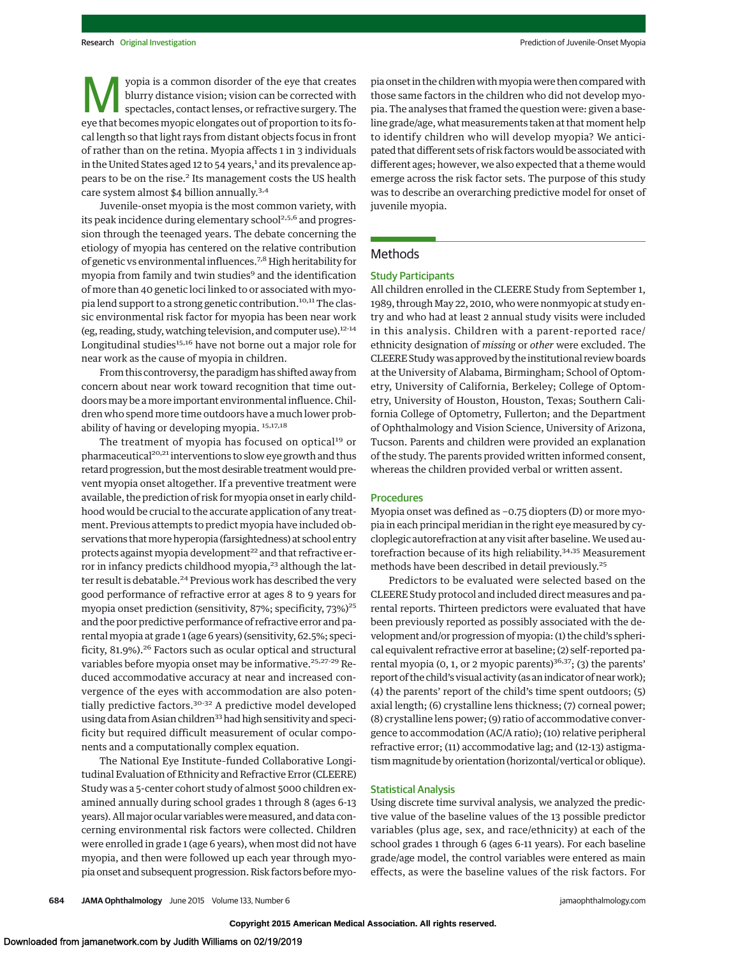yopia is a common disorder of the eye that creates<br>blurry distance vision; vision can be corrected with<br>spectacles, contact lenses, or refractive surgery. The<br>available comes myopic elements out of proportion to its fo blurry distance vision; vision can be corrected with eye that becomes myopic elongates out of proportion to its focal length so that light rays from distant objects focus in front of rather than on the retina. Myopia affects 1 in 3 individuals in the United States aged 12 to 54 years,<sup>1</sup> and its prevalence appears to be on the rise.<sup>2</sup> Its management costs the US health care system almost \$4 billion annually.<sup>3,4</sup>

Juvenile-onset myopia is the most common variety, with its peak incidence during elementary school<sup>2,5,6</sup> and progression through the teenaged years. The debate concerning the etiology of myopia has centered on the relative contribution of genetic vs environmental influences.<sup>7,8</sup> High heritability for myopia from family and twin studies<sup>9</sup> and the identification of more than 40 genetic loci linked to or associated with myopia lend support to a strong genetic contribution.<sup>10,11</sup> The classic environmental risk factor for myopia has been near work (eg, reading, study, watching television, and computer use).<sup>12-14</sup> Longitudinal studies<sup>15,16</sup> have not borne out a major role for near work as the cause of myopia in children.

From this controversy, the paradigm has shifted away from concern about near work toward recognition that time outdoorsmay be amore important environmental influence. Children who spend more time outdoors have a much lower probability of having or developing myopia. 15,17,18

The treatment of myopia has focused on optical<sup>19</sup> or pharmaceutical<sup>20,21</sup> interventions to slow eye growth and thus retard progression, but the most desirable treatment would prevent myopia onset altogether. If a preventive treatment were available, the prediction of risk formyopia onset in early childhood would be crucial to the accurate application of any treatment. Previous attempts to predict myopia have included observations that more hyperopia (farsightedness) at school entry protects against myopia development<sup>22</sup> and that refractive error in infancy predicts childhood myopia,<sup>23</sup> although the latter result is debatable.<sup>24</sup> Previous work has described the very good performance of refractive error at ages 8 to 9 years for myopia onset prediction (sensitivity, 87%; specificity, 73%)<sup>25</sup> and the poor predictive performance of refractive error and parental myopia at grade 1 (age 6 years) (sensitivity, 62.5%; specificity, 81.9%).<sup>26</sup> Factors such as ocular optical and structural variables before myopia onset may be informative.<sup>25,27-29</sup> Reduced accommodative accuracy at near and increased convergence of the eyes with accommodation are also potentially predictive factors.<sup>30-32</sup> A predictive model developed using data from Asian children<sup>33</sup> had high sensitivity and specificity but required difficult measurement of ocular components and a computationally complex equation.

The National Eye Institute–funded Collaborative Longitudinal Evaluation of Ethnicity and Refractive Error (CLEERE) Study was a 5-center cohort study of almost 5000 children examined annually during school grades 1 through 8 (ages 6-13 years). Allmajor ocular variables weremeasured, and data concerning environmental risk factors were collected. Children were enrolled in grade 1 (age 6 years), when most did not have myopia, and then were followed up each year through myopia onset and subsequent progression. Risk factors beforemyopia onset in the children with myopia were then compared with those same factors in the children who did not develop myopia. The analyses that framed the question were: given a baseline grade/age, what measurements taken at that moment help to identify children who will develop myopia? We anticipated that different sets of risk factors would be associated with different ages; however, we also expected that a theme would emerge across the risk factor sets. The purpose of this study was to describe an overarching predictive model for onset of juvenile myopia.

## **Methods**

### Study Participants

All children enrolled in the CLEERE Study from September 1, 1989, through May 22, 2010, who were nonmyopic at study entry and who had at least 2 annual study visits were included in this analysis. Children with a parent-reported race/ ethnicity designation of *missing* or *other* were excluded. The CLEERE Study was approved by the institutional review boards at the University of Alabama, Birmingham; School of Optometry, University of California, Berkeley; College of Optometry, University of Houston, Houston, Texas; Southern California College of Optometry, Fullerton; and the Department of Ophthalmology and Vision Science, University of Arizona, Tucson. Parents and children were provided an explanation of the study. The parents provided written informed consent, whereas the children provided verbal or written assent.

### **Procedures**

Myopia onset was defined as −0.75 diopters (D) or more myopia in each principal meridian in the right eye measured by cycloplegic autorefraction at any visit after baseline.We used autorefraction because of its high reliability.<sup>34,35</sup> Measurement methods have been described in detail previously.<sup>25</sup>

Predictors to be evaluated were selected based on the CLEERE Study protocol and included direct measures and parental reports. Thirteen predictors were evaluated that have been previously reported as possibly associated with the development and/or progression of myopia: (1) the child's spherical equivalent refractive error at baseline; (2) self-reported parental myopia (0, 1, or 2 myopic parents) $36,37$ ; (3) the parents' report of the child's visual activity (as an indicator of nearwork); (4) the parents' report of the child's time spent outdoors; (5) axial length; (6) crystalline lens thickness; (7) corneal power; (8) crystalline lens power; (9) ratio of accommodative convergence to accommodation (AC/A ratio); (10) relative peripheral refractive error; (11) accommodative lag; and (12-13) astigmatismmagnitude by orientation (horizontal/vertical or oblique).

#### Statistical Analysis

Using discrete time survival analysis, we analyzed the predictive value of the baseline values of the 13 possible predictor variables (plus age, sex, and race/ethnicity) at each of the school grades 1 through 6 (ages 6-11 years). For each baseline grade/age model, the control variables were entered as main effects, as were the baseline values of the risk factors. For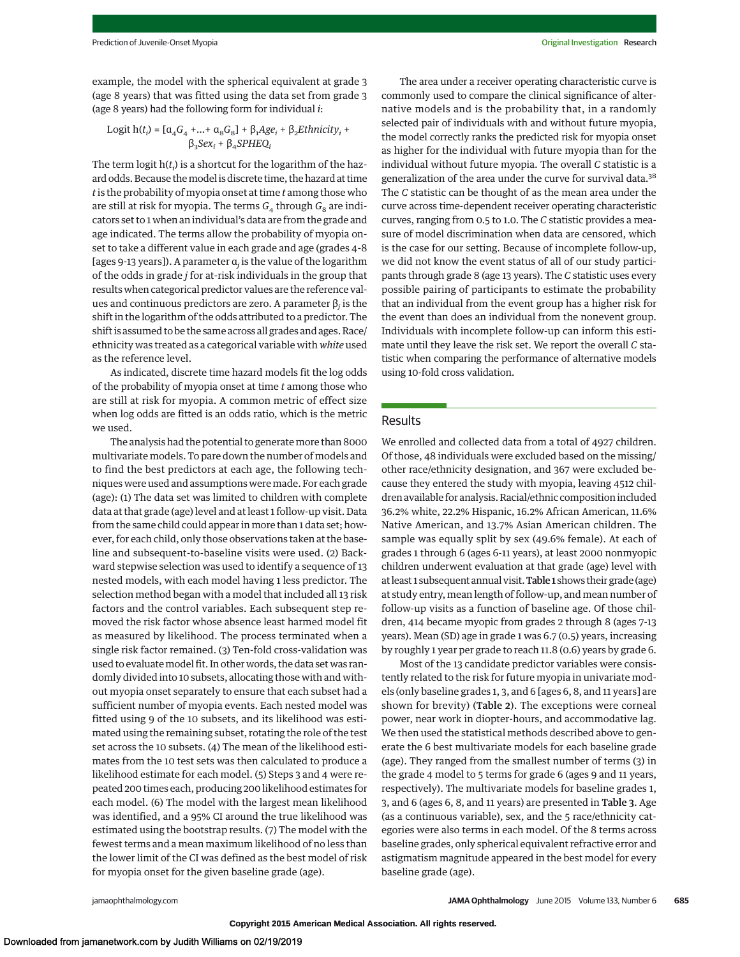example, the model with the spherical equivalent at grade 3 (age 8 years) that was fitted using the data set from grade 3 (age 8 years) had the following form for individual *i*:

$$
Logit h(ti) = [a4G4 + ... + a8G8] + \beta1Agei + \beta2Ethnicityi + \beta3Sexi + \beta4SPHEQi
$$

The term logit  $h(t_i)$  is a shortcut for the logarithm of the hazard odds. Because themodel is discrete time, the hazard at time *t*is the probability of myopia onset at time *t* among those who are still at risk for myopia. The terms  $G_4$  through  $G_8$  are indicators set to 1 when an individual's data are from the grade and age indicated. The terms allow the probability of myopia onset to take a different value in each grade and age (grades 4-8 [ages 9-13 years]). A parameter α*<sup>j</sup>* is the value of the logarithm of the odds in grade *j* for at-risk individuals in the group that results when categorical predictor values are the reference values and continuous predictors are zero. A parameter β*<sup>j</sup>* is the shift in the logarithm of the odds attributed to a predictor. The shift is assumed to be the same across all grades and ages. Race/ ethnicity was treated as a categorical variable with *white* used as the reference level.

As indicated, discrete time hazard models fit the log odds of the probability of myopia onset at time *t* among those who are still at risk for myopia. A common metric of effect size when log odds are fitted is an odds ratio, which is the metric we used.

The analysis had the potential to generatemore than 8000 multivariate models. To pare down the number of models and to find the best predictors at each age, the following techniques were used and assumptions were made. For each grade (age): (1) The data set was limited to children with complete data at that grade (age) level and at least 1 follow-up visit. Data from the same child could appear in more than 1 data set; however, for each child, only those observations taken at the baseline and subsequent-to-baseline visits were used. (2) Backward stepwise selection was used to identify a sequence of 13 nested models, with each model having 1 less predictor. The selection method began with a model that included all 13 risk factors and the control variables. Each subsequent step removed the risk factor whose absence least harmed model fit as measured by likelihood. The process terminated when a single risk factor remained. (3) Ten-fold cross-validation was used to evaluatemodel fit. In other words, the data set was randomly divided into 10 subsets, allocating those with and without myopia onset separately to ensure that each subset had a sufficient number of myopia events. Each nested model was fitted using 9 of the 10 subsets, and its likelihood was estimated using the remaining subset, rotating the role of the test set across the 10 subsets. (4) The mean of the likelihood estimates from the 10 test sets was then calculated to produce a likelihood estimate for each model. (5) Steps 3 and 4 were repeated 200 times each, producing 200 likelihood estimates for each model. (6) The model with the largest mean likelihood was identified, and a 95% CI around the true likelihood was estimated using the bootstrap results. (7) The model with the fewest terms and a mean maximum likelihood of no less than the lower limit of the CI was defined as the best model of risk for myopia onset for the given baseline grade (age).

The area under a receiver operating characteristic curve is commonly used to compare the clinical significance of alternative models and is the probability that, in a randomly selected pair of individuals with and without future myopia, the model correctly ranks the predicted risk for myopia onset as higher for the individual with future myopia than for the individual without future myopia. The overall *C* statistic is a generalization of the area under the curve for survival data.<sup>38</sup> The *C* statistic can be thought of as the mean area under the curve across time-dependent receiver operating characteristic curves, ranging from 0.5 to 1.0. The *C* statistic provides a measure of model discrimination when data are censored, which is the case for our setting. Because of incomplete follow-up, we did not know the event status of all of our study participants through grade 8 (age 13 years). The *C* statistic uses every possible pairing of participants to estimate the probability that an individual from the event group has a higher risk for the event than does an individual from the nonevent group. Individuals with incomplete follow-up can inform this estimate until they leave the risk set. We report the overall *C* statistic when comparing the performance of alternative models using 10-fold cross validation.

## **Results**

We enrolled and collected data from a total of 4927 children. Of those, 48 individuals were excluded based on the missing/ other race/ethnicity designation, and 367 were excluded because they entered the study with myopia, leaving 4512 children available for analysis. Racial/ethnic composition included 36.2% white, 22.2% Hispanic, 16.2% African American, 11.6% Native American, and 13.7% Asian American children. The sample was equally split by sex (49.6% female). At each of grades 1 through 6 (ages 6-11 years), at least 2000 nonmyopic children underwent evaluation at that grade (age) level with at least 1 subsequent annual visit.Table 1 shows their grade (age) at study entry, mean length of follow-up, and mean number of follow-up visits as a function of baseline age. Of those children, 414 became myopic from grades 2 through 8 (ages 7-13 years). Mean (SD) age in grade 1 was 6.7 (0.5) years, increasing by roughly 1 year per grade to reach 11.8 (0.6) years by grade 6.

Most of the 13 candidate predictor variables were consistently related to the risk for future myopia in univariate models (only baseline grades 1, 3, and 6 [ages 6, 8, and 11 years] are shown for brevity) (Table 2). The exceptions were corneal power, near work in diopter-hours, and accommodative lag. We then used the statistical methods described above to generate the 6 best multivariate models for each baseline grade (age). They ranged from the smallest number of terms (3) in the grade 4 model to 5 terms for grade 6 (ages 9 and 11 years, respectively). The multivariate models for baseline grades 1, 3, and 6 (ages 6, 8, and 11 years) are presented in Table 3. Age (as a continuous variable), sex, and the 5 race/ethnicity categories were also terms in each model. Of the 8 terms across baseline grades, only spherical equivalent refractive error and astigmatism magnitude appeared in the best model for every baseline grade (age).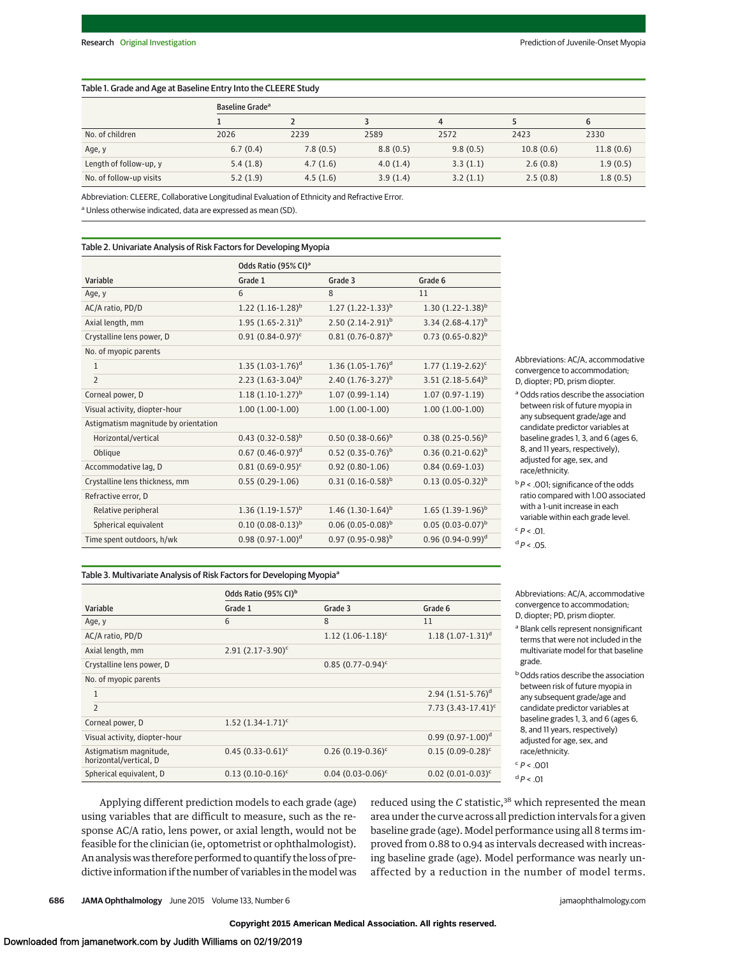#### Table 1. Grade and Age at Baseline Entry Into the CLEERE Study

|                         | Baseline Grade <sup>a</sup> |          |          |          |           |           |
|-------------------------|-----------------------------|----------|----------|----------|-----------|-----------|
|                         |                             |          |          | 4        |           |           |
| No. of children         | 2026                        | 2239     | 2589     | 2572     | 2423      | 2330      |
| Age, y                  | 6.7(0.4)                    | 7.8(0.5) | 8.8(0.5) | 9.8(0.5) | 10.8(0.6) | 11.8(0.6) |
| Length of follow-up, y  | 5.4(1.8)                    | 4.7(1.6) | 4.0(1.4) | 3.3(1.1) | 2.6(0.8)  | 1.9(0.5)  |
| No. of follow-up visits | 5.2(1.9)                    | 4.5(1.6) | 3.9(1.4) | 3.2(1.1) | 2.5(0.8)  | 1.8(0.5)  |

Abbreviation: CLEERE, Collaborative Longitudinal Evaluation of Ethnicity and Refractive Error.

a Unless otherwise indicated, data are expressed as mean (SD).

### Table 2. Univariate Analysis of Risk Factors for Developing Myopia

|                                      | Odds Ratio (95% CI) <sup>a</sup>    |                                   |                        |  |  |
|--------------------------------------|-------------------------------------|-----------------------------------|------------------------|--|--|
| Variable                             | Grade 1                             | Grade 3                           | Grade 6                |  |  |
| Age, y                               | 6                                   | 8                                 | 11                     |  |  |
| AC/A ratio, PD/D                     | $1.22 (1.16 - 1.28)^{b}$            | $1.27 (1.22 - 1.33)^{b}$          | $1.30(1.22-1.38)^{b}$  |  |  |
| Axial length, mm                     | $1.95(1.65-2.31)^b$                 | $2.50(2.14-2.91)^b$               | 3.34 $(2.68 - 4.17)^b$ |  |  |
| Crystalline lens power, D            | $0.91(0.84 - 0.97)^c$               | $0.81(0.76-0.87)^b$               | $0.73(0.65-0.82)^{b}$  |  |  |
| No. of myopic parents                |                                     |                                   |                        |  |  |
| $\mathbf{1}$                         | $1.35(1.03-1.76)^d$                 | $1.36$ $(1.05-1.76)$ <sup>d</sup> | $1.77(1.19-2.62)^c$    |  |  |
| $\overline{2}$                       | 2.23 $(1.63-3.04)^b$                | $2.40 (1.76 - 3.27)^{b}$          | $3.51(2.18-5.64)^b$    |  |  |
| Corneal power, D                     | $1.18(1.10-1.27)^{b}$               | $1.07(0.99-1.14)$                 | $1.07(0.97-1.19)$      |  |  |
| Visual activity, diopter-hour        | $1.00(1.00-1.00)$                   | $1.00(1.00-1.00)$                 | $1.00(1.00-1.00)$      |  |  |
| Astigmatism magnitude by orientation |                                     |                                   |                        |  |  |
| Horizontal/vertical                  | $0.43(0.32-0.58)^{b}$               | $0.50(0.38-0.66)^b$               | $0.38(0.25-0.56)^b$    |  |  |
| Oblique                              | $0.67$ $(0.46 - 0.97)$ <sup>d</sup> | $0.52$ $(0.35-0.76)^b$            | $0.36(0.21-0.62)^{b}$  |  |  |
| Accommodative lag, D                 | $0.81(0.69-0.95)^c$                 | $0.92(0.80-1.06)$                 | $0.84(0.69-1.03)$      |  |  |
| Crystalline lens thickness, mm       | $0.55(0.29-1.06)$                   | $0.31(0.16-0.58)^{b}$             | $0.13(0.05-0.32)^{b}$  |  |  |
| Refractive error, D                  |                                     |                                   |                        |  |  |
| Relative peripheral                  | $1.36(1.19-1.57)^{b}$               | $1.46$ $(1.30-1.64)^b$            | $1.65$ $(1.39-1.96)^b$ |  |  |
| Spherical equivalent                 | $0.10 (0.08 - 0.13)^b$              | $0.06(0.05-0.08)^b$               | $0.05(0.03-0.07)^b$    |  |  |
| Time spent outdoors, h/wk            | $0.98(0.97 - 1.00)^d$               | $0.97(0.95 - 0.98)^b$             | $0.96(0.94-0.99)^d$    |  |  |

Abbreviations: AC/A, accommodative convergence to accommodation; D, diopter; PD, prism diopter.

<sup>a</sup> Odds ratios describe the association between risk of future myopia in any subsequent grade/age and candidate predictor variables at baseline grades 1, 3, and 6 (ages 6, 8, and 11 years, respectively), adjusted for age, sex, and race/ethnicity.

 $b$  P < .001; significance of the odds ratio compared with 1.00 associated with a 1-unit increase in each variable within each grade level.

 $c$   $P$  < .01.

 $dP < .05$ .

#### Abbreviations: AC/A, accommodative convergence to accommodation; D, diopter; PD, prism diopter.

<sup>a</sup> Blank cells represent nonsignificant terms that were not included in the multivariate model for that baseline grade.

**b** Odds ratios describe the association between risk of future myopia in any subsequent grade/age and candidate predictor variables at baseline grades 1, 3, and 6 (ages 6, 8, and 11 years, respectively) adjusted for age, sex, and race/ethnicity.

 $c$   $P < .001$  $dP < .01$ 

Applying different prediction models to each grade (age) using variables that are difficult to measure, such as the response AC/A ratio, lens power, or axial length, would not be feasible for the clinician (ie, optometrist or ophthalmologist). An analysis was therefore performed to quantify the loss of predictive information if the number of variables in themodel was

Table 3. Multivariate Analysis of Risk Factors for Developing Myopia<sup>a</sup>

Axial length, mm 2.91 (2.17-3.90)<sup>c</sup>

Corneal power, D  $1.52$   $(1.34-1.71)^c$ 

Odds Ratio (95% CI)<sup>t</sup>

Age, y 6  $\hphantom{i}$  6  $\hphantom{i}$  8  $\hphantom{i}$  11

Crystalline lens power, D 0.85  $(0.77-0.94)^c$ 

 $AC/A$  ratio, PD/D  $1.12$   $(1.06-1.18)^{c}$   $1.18$   $(1.07-1.31)^{d}$ 

1 2.94  $(1.51-5.76)^d$ 2 7.73 (3.43-17.41)c

Visual activity, diopter-hour and the control of the control of the control of the control of the control of the control of the control of the control of the control of the control of the control of the control of the cont

Spherical equivalent, D  $0.13 (0.10-0.16)^c$   $0.04 (0.03-0.06)^c$   $0.02 (0.01-0.03)^c$ 

Grade 1 Grade 3 Grade 6

Variable

No. of myopic parents

Astigmatism magnitude, horizontal/vertical, D

> reduced using the *C* statistic,<sup>38</sup> which represented the mean area under the curve across all prediction intervals for a given baseline grade (age). Model performance using all 8 terms improved from 0.88 to 0.94 as intervals decreased with increasing baseline grade (age). Model performance was nearly unaffected by a reduction in the number of model terms.

 $0.45$   $(0.33-0.61)^c$  0.26  $(0.19-0.36)^c$  0.15  $(0.09-0.28)^c$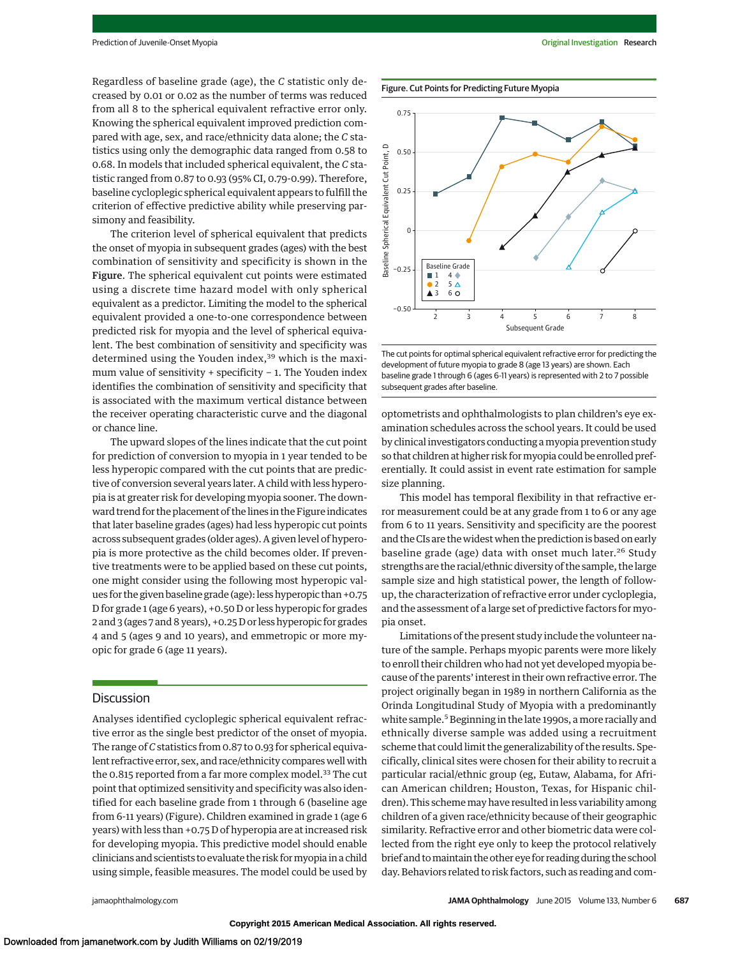Regardless of baseline grade (age), the *C* statistic only decreased by 0.01 or 0.02 as the number of terms was reduced from all 8 to the spherical equivalent refractive error only. Knowing the spherical equivalent improved prediction compared with age, sex, and race/ethnicity data alone; the *C* statistics using only the demographic data ranged from 0.58 to 0.68. In models that included spherical equivalent, the *C* statistic ranged from 0.87 to 0.93 (95% CI, 0.79-0.99). Therefore, baseline cycloplegic spherical equivalent appears to fulfill the criterion of effective predictive ability while preserving parsimony and feasibility.

The criterion level of spherical equivalent that predicts the onset of myopia in subsequent grades (ages) with the best combination of sensitivity and specificity is shown in the Figure. The spherical equivalent cut points were estimated using a discrete time hazard model with only spherical equivalent as a predictor. Limiting the model to the spherical equivalent provided a one-to-one correspondence between predicted risk for myopia and the level of spherical equivalent. The best combination of sensitivity and specificity was determined using the Youden index,<sup>39</sup> which is the maximum value of sensitivity + specificity − 1. The Youden index identifies the combination of sensitivity and specificity that is associated with the maximum vertical distance between the receiver operating characteristic curve and the diagonal or chance line.

The upward slopes of the lines indicate that the cut point for prediction of conversion to myopia in 1 year tended to be less hyperopic compared with the cut points that are predictive of conversion several years later. A child with less hyperopia is at greater risk for developing myopia sooner. The downward trend for the placement of the lines in the Figure indicates that later baseline grades (ages) had less hyperopic cut points across subsequent grades (older ages). A given level of hyperopia is more protective as the child becomes older. If preventive treatments were to be applied based on these cut points, one might consider using the following most hyperopic values for the given baseline grade (age): less hyperopic than +0.75 D for grade 1 (age 6 years), +0.50 D or less hyperopic for grades 2 and 3 (ages 7 and 8 years), +0.25 D or less hyperopic for grades 4 and 5 (ages 9 and 10 years), and emmetropic or more myopic for grade 6 (age 11 years).

## Discussion

Analyses identified cycloplegic spherical equivalent refractive error as the single best predictor of the onset of myopia. The range of *C* statistics from 0.87 to 0.93 for spherical equivalent refractive error, sex, and race/ethnicity compares well with the 0.815 reported from a far more complex model.<sup>33</sup> The cut point that optimized sensitivity and specificity was also identified for each baseline grade from 1 through 6 (baseline age from 6-11 years) (Figure). Children examined in grade 1 (age 6 years) with less than +0.75 D of hyperopia are at increased risk for developing myopia. This predictive model should enable clinicians and scientists to evaluate the risk formyopia in a child using simple, feasible measures. The model could be used by





The cut points for optimal spherical equivalent refractive error for predicting the development of future myopia to grade 8 (age 13 years) are shown. Each baseline grade 1 through 6 (ages 6-11 years) is represented with 2 to 7 possible subsequent grades after baseline.

optometrists and ophthalmologists to plan children's eye examination schedules across the school years. It could be used by clinical investigators conducting amyopia prevention study so that children at higher risk for myopia could be enrolled preferentially. It could assist in event rate estimation for sample size planning.

This model has temporal flexibility in that refractive error measurement could be at any grade from 1 to 6 or any age from 6 to 11 years. Sensitivity and specificity are the poorest and the CIs are the widest when the prediction is based on early baseline grade (age) data with onset much later.<sup>26</sup> Study strengths are the racial/ethnic diversity of the sample, the large sample size and high statistical power, the length of followup, the characterization of refractive error under cycloplegia, and the assessment of a large set of predictive factors for myopia onset.

Limitations of the present study include the volunteer nature of the sample. Perhaps myopic parents were more likely to enroll their children who had not yet developed myopia because of the parents' interest in their own refractive error. The project originally began in 1989 in northern California as the Orinda Longitudinal Study of Myopia with a predominantly white sample.<sup>5</sup> Beginning in the late 1990s, a more racially and ethnically diverse sample was added using a recruitment scheme that could limit the generalizability of the results. Specifically, clinical sites were chosen for their ability to recruit a particular racial/ethnic group (eg, Eutaw, Alabama, for African American children; Houston, Texas, for Hispanic children). This scheme may have resulted in less variability among children of a given race/ethnicity because of their geographic similarity. Refractive error and other biometric data were collected from the right eye only to keep the protocol relatively brief and to maintain the other eye for reading during the school day. Behaviors related to risk factors, such as reading and com-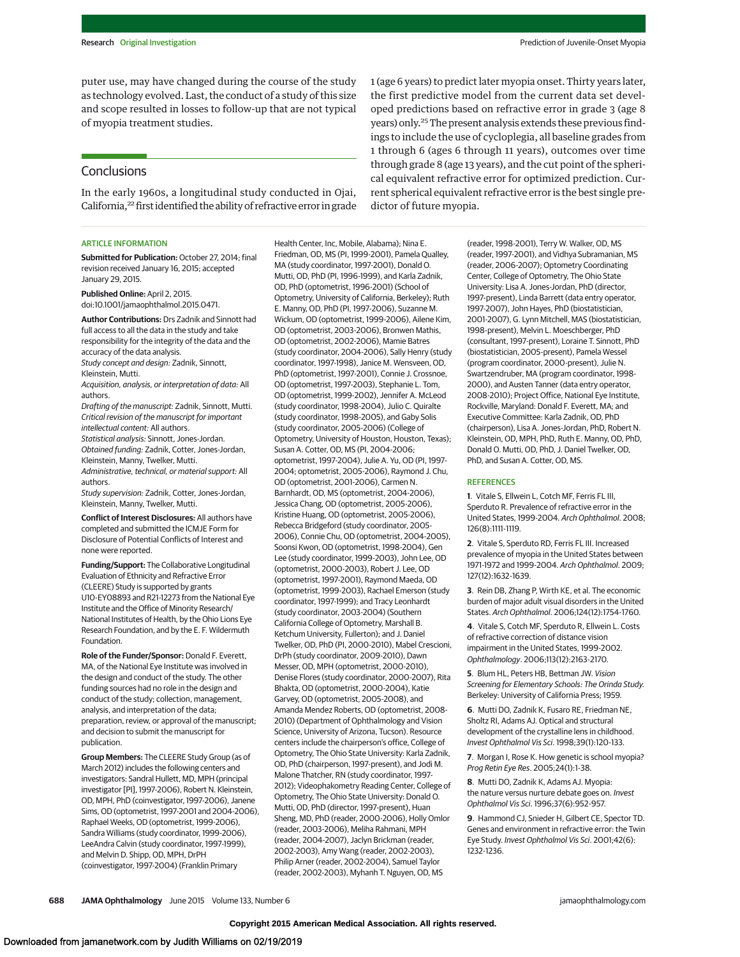puter use, may have changed during the course of the study as technology evolved. Last, the conduct of a study of this size and scope resulted in losses to follow-up that are not typical of myopia treatment studies.

## **Conclusions**

In the early 1960s, a longitudinal study conducted in Ojai, California,<sup>22</sup> first identified the ability of refractive error in grade

#### ARTICLE INFORMATION

**Submitted for Publication:** October 27, 2014; final revision received January 16, 2015; accepted January 29, 2015.

**Published Online:** April 2, 2015. doi:10.1001/jamaophthalmol.2015.0471.

**Author Contributions:** Drs Zadnik and Sinnott had full access to all the data in the study and take responsibility for the integrity of the data and the accuracy of the data analysis. Study concept and design: Zadnik, Sinnott,

Kleinstein, Mutti. Acquisition, analysis, or interpretation of data: All

authors. Drafting of the manuscript: Zadnik, Sinnott, Mutti.

Critical revision of the manuscript for important intellectual content: All authors.

Statistical analysis: Sinnott, Jones-Jordan. Obtained funding: Zadnik, Cotter, Jones-Jordan, Kleinstein, Manny, Twelker, Mutti.

Administrative, technical, or material support: All authors.

Study supervision: Zadnik, Cotter, Jones-Jordan, Kleinstein, Manny, Twelker, Mutti.

**Conflict of Interest Disclosures:** All authors have completed and submitted the ICMJE Form for Disclosure of Potential Conflicts of Interest and none were reported.

**Funding/Support:** The Collaborative Longitudinal Evaluation of Ethnicity and Refractive Error (CLEERE) Study is supported by grants U10-EY08893 and R21-12273 from the National Eye Institute and the Office of Minority Research/ National Institutes of Health, by the Ohio Lions Eye Research Foundation, and by the E. F. Wildermuth Foundation.

**Role of the Funder/Sponsor:** Donald F. Everett, MA, of the National Eye Institute was involved in the design and conduct of the study. The other funding sources had no role in the design and conduct of the study; collection, management, analysis, and interpretation of the data; preparation, review, or approval of the manuscript; and decision to submit the manuscript for publication.

**Group Members:** The CLEERE Study Group (as of March 2012) includes the following centers and investigators: Sandral Hullett, MD, MPH (principal investigator [PI], 1997-2006), Robert N. Kleinstein, OD, MPH, PhD (coinvestigator, 1997-2006), Janene Sims, OD (optometrist, 1997-2001 and 2004-2006), Raphael Weeks, OD (optometrist, 1999-2006), Sandra Williams (study coordinator, 1999-2006), LeeAndra Calvin (study coordinator, 1997-1999), and Melvin D. Shipp, OD, MPH, DrPH (coinvestigator, 1997-2004) (Franklin Primary

Health Center, Inc. Mobile, Alabama); Nina E. Friedman, OD, MS (PI, 1999-2001), Pamela Qualley, MA (study coordinator, 1997-2001), Donald O. Mutti, OD, PhD (PI, 1996-1999), and Karla Zadnik, OD, PhD (optometrist, 1996-2001) (School of Optometry, University of California, Berkeley); Ruth E. Manny, OD, PhD (PI, 1997-2006), Suzanne M. Wickum, OD (optometrist, 1999-2006), Ailene Kim, OD (optometrist, 2003-2006), Bronwen Mathis, OD (optometrist, 2002-2006), Mamie Batres (study coordinator, 2004-2006), Sally Henry (study coordinator, 1997-1998), Janice M. Wensveen, OD, PhD (optometrist, 1997-2001), Connie J. Crossnoe, OD (optometrist, 1997-2003), Stephanie L. Tom, OD (optometrist, 1999-2002), Jennifer A. McLeod (study coordinator, 1998-2004), Julio C. Quiralte (study coordinator, 1998-2005), and Gaby Solis (study coordinator, 2005-2006) (College of Optometry, University of Houston, Houston, Texas); Susan A. Cotter, OD, MS (PI, 2004-2006; optometrist, 1997-2004), Julie A. Yu, OD (PI, 1997- 2004; optometrist, 2005-2006), Raymond J. Chu, OD (optometrist, 2001-2006), Carmen N. Barnhardt, OD, MS (optometrist, 2004-2006), Jessica Chang, OD (optometrist, 2005-2006), Kristine Huang, OD (optometrist, 2005-2006), Rebecca Bridgeford (study coordinator, 2005- 2006), Connie Chu, OD (optometrist, 2004-2005), Soonsi Kwon, OD (optometrist, 1998-2004), Gen Lee (study coordinator, 1999-2003), John Lee, OD (optometrist, 2000-2003), Robert J. Lee, OD (optometrist, 1997-2001), Raymond Maeda, OD (optometrist, 1999-2003), Rachael Emerson (study coordinator, 1997-1999); and Tracy Leonhardt (study coordinator, 2003-2004) (Southern California College of Optometry, Marshall B. Ketchum University, Fullerton); and J. Daniel Twelker, OD, PhD (PI, 2000-2010), Mabel Crescioni, DrPh (study coordinator, 2009-2010), Dawn Messer, OD, MPH (optometrist, 2000-2010), Denise Flores (study coordinator, 2000-2007), Rita Bhakta, OD (optometrist, 2000-2004), Katie Garvey, OD (optometrist, 2005-2008), and Amanda Mendez Roberts, OD (optometrist, 2008- 2010) (Department of Ophthalmology and Vision Science, University of Arizona, Tucson). Resource centers include the chairperson's office, College of Optometry, The Ohio State University: Karla Zadnik, OD, PhD (chairperson, 1997-present), and Jodi M. Malone Thatcher, RN (study coordinator, 1997- 2012); Videophakometry Reading Center, College of Optometry, The Ohio State University: Donald O. Mutti, OD, PhD (director, 1997-present), Huan Sheng, MD, PhD (reader, 2000-2006), Holly Omlor (reader, 2003-2006), Meliha Rahmani, MPH (reader, 2004-2007), Jaclyn Brickman (reader, 2002-2003), Amy Wang (reader, 2002-2003), Philip Arner (reader, 2002-2004), Samuel Taylor (reader, 2002-2003), Myhanh T. Nguyen, OD, MS

1 (age 6 years) to predict later myopia onset. Thirty years later, the first predictive model from the current data set developed predictions based on refractive error in grade 3 (age 8 years) only.<sup>25</sup> The present analysis extends these previous findings to include the use of cycloplegia, all baseline grades from 1 through 6 (ages 6 through 11 years), outcomes over time through grade 8 (age 13 years), and the cut point of the spherical equivalent refractive error for optimized prediction. Current spherical equivalent refractive error is the best single predictor of future myopia.

> (reader, 1998-2001), Terry W. Walker, OD, MS (reader, 1997-2001), and Vidhya Subramanian, MS (reader, 2006-2007); Optometry Coordinating Center, College of Optometry, The Ohio State University: Lisa A. Jones-Jordan, PhD (director, 1997-present), Linda Barrett (data entry operator, 1997-2007), John Hayes, PhD (biostatistician, 2001-2007), G. Lynn Mitchell, MAS (biostatistician, 1998-present), Melvin L. Moeschberger, PhD (consultant, 1997-present), Loraine T. Sinnott, PhD (biostatistician, 2005-present), Pamela Wessel (program coordinator, 2000-present), Julie N. Swartzendruber, MA (program coordinator, 1998- 2000), and Austen Tanner (data entry operator, 2008-2010); Project Office, National Eye Institute, Rockville, Maryland: Donald F. Everett, MA; and Executive Committee: Karla Zadnik, OD, PhD (chairperson), Lisa A. Jones-Jordan, PhD, Robert N. Kleinstein, OD, MPH, PhD, Ruth E. Manny, OD, PhD, Donald O. Mutti, OD, PhD, J. Daniel Twelker, OD, PhD, and Susan A. Cotter, OD, MS.

#### **REFERENCES**

**1**. Vitale S, Ellwein L, Cotch MF, Ferris FL III, Sperduto R. Prevalence of refractive error in the United States, 1999-2004. Arch Ophthalmol. 2008; 126(8):1111-1119.

**2**. Vitale S, Sperduto RD, Ferris FL III. Increased prevalence of myopia in the United States between 1971-1972 and 1999-2004. Arch Ophthalmol. 2009; 127(12):1632-1639.

**3**. Rein DB, Zhang P, Wirth KE, et al. The economic burden of major adult visual disorders in the United States. Arch Ophthalmol. 2006;124(12):1754-1760.

**4**. Vitale S, Cotch MF, Sperduto R, Ellwein L. Costs of refractive correction of distance vision impairment in the United States, 1999-2002. Ophthalmology. 2006;113(12):2163-2170.

**5**. Blum HL, Peters HB, Bettman JW. Vision Screening for Elementary Schools: The Orinda Study. Berkeley: University of California Press; 1959.

**6**. Mutti DO, Zadnik K, Fusaro RE, Friedman NE, Sholtz RI, Adams AJ. Optical and structural development of the crystalline lens in childhood. Invest Ophthalmol Vis Sci. 1998;39(1):120-133.

**7**. Morgan I, Rose K. How genetic is school myopia? Prog Retin Eye Res. 2005;24(1):1-38.

**8**. Mutti DO, Zadnik K, Adams AJ. Myopia: the nature versus nurture debate goes on. Invest Ophthalmol Vis Sci. 1996;37(6):952-957.

**9**. Hammond CJ, Snieder H, Gilbert CE, Spector TD. Genes and environment in refractive error: the Twin Eye Study. Invest Ophthalmol Vis Sci. 2001;42(6): 1232-1236.